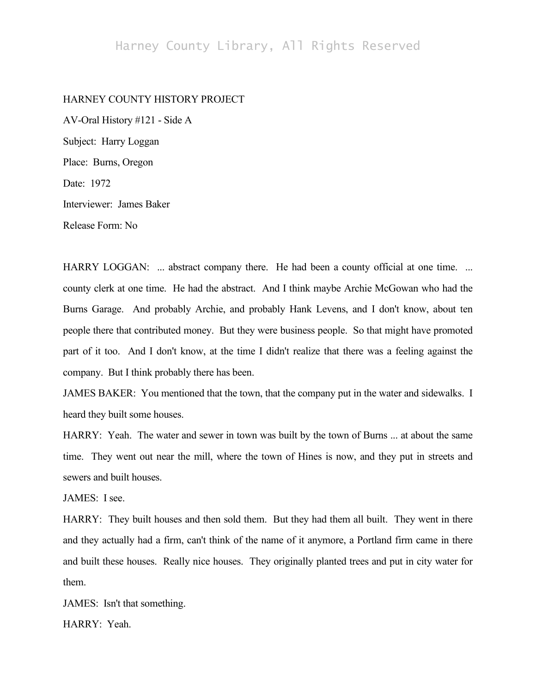## HARNEY COUNTY HISTORY PROJECT

AV-Oral History #121 - Side A Subject: Harry Loggan Place: Burns, Oregon Date: 1972 Interviewer: James Baker Release Form: No

HARRY LOGGAN: ... abstract company there. He had been a county official at one time. ... county clerk at one time. He had the abstract. And I think maybe Archie McGowan who had the Burns Garage. And probably Archie, and probably Hank Levens, and I don't know, about ten people there that contributed money. But they were business people. So that might have promoted part of it too. And I don't know, at the time I didn't realize that there was a feeling against the company. But I think probably there has been.

JAMES BAKER: You mentioned that the town, that the company put in the water and sidewalks. I heard they built some houses.

HARRY: Yeah. The water and sewer in town was built by the town of Burns ... at about the same time. They went out near the mill, where the town of Hines is now, and they put in streets and sewers and built houses.

JAMES: I see.

HARRY: They built houses and then sold them. But they had them all built. They went in there and they actually had a firm, can't think of the name of it anymore, a Portland firm came in there and built these houses. Really nice houses. They originally planted trees and put in city water for them.

JAMES: Isn't that something. HARRY: Yeah.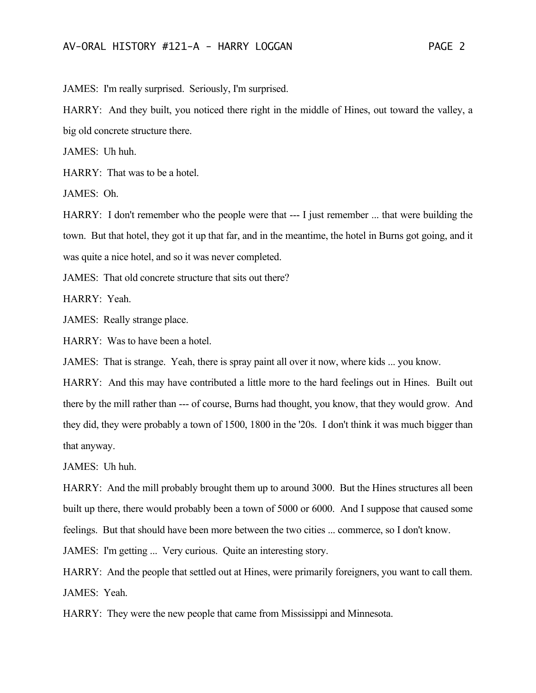JAMES: I'm really surprised. Seriously, I'm surprised.

HARRY: And they built, you noticed there right in the middle of Hines, out toward the valley, a big old concrete structure there.

JAMES: Uh huh.

HARRY: That was to be a hotel.

JAMES: Oh.

HARRY: I don't remember who the people were that --- I just remember ... that were building the town. But that hotel, they got it up that far, and in the meantime, the hotel in Burns got going, and it was quite a nice hotel, and so it was never completed.

JAMES: That old concrete structure that sits out there?

HARRY: Yeah.

JAMES: Really strange place.

HARRY: Was to have been a hotel.

JAMES: That is strange. Yeah, there is spray paint all over it now, where kids ... you know.

HARRY: And this may have contributed a little more to the hard feelings out in Hines. Built out there by the mill rather than --- of course, Burns had thought, you know, that they would grow. And they did, they were probably a town of 1500, 1800 in the '20s. I don't think it was much bigger than that anyway.

JAMES: Uh huh.

HARRY: And the mill probably brought them up to around 3000. But the Hines structures all been built up there, there would probably been a town of 5000 or 6000. And I suppose that caused some feelings. But that should have been more between the two cities ... commerce, so I don't know.

JAMES: I'm getting ... Very curious. Quite an interesting story.

HARRY: And the people that settled out at Hines, were primarily foreigners, you want to call them. JAMES: Yeah.

HARRY: They were the new people that came from Mississippi and Minnesota.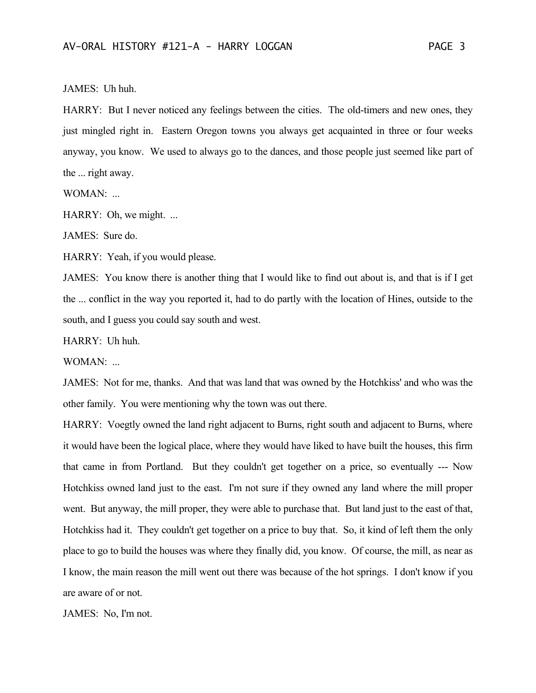## JAMES: Uh huh.

HARRY: But I never noticed any feelings between the cities. The old-timers and new ones, they just mingled right in. Eastern Oregon towns you always get acquainted in three or four weeks anyway, you know. We used to always go to the dances, and those people just seemed like part of the ... right away.

WOMAN: ...

HARRY: Oh, we might. ...

JAMES: Sure do.

HARRY: Yeah, if you would please.

JAMES: You know there is another thing that I would like to find out about is, and that is if I get the ... conflict in the way you reported it, had to do partly with the location of Hines, outside to the south, and I guess you could say south and west.

HARRY: Uh huh.

WOMAN: ...

JAMES: Not for me, thanks. And that was land that was owned by the Hotchkiss' and who was the other family. You were mentioning why the town was out there.

HARRY: Voegtly owned the land right adjacent to Burns, right south and adjacent to Burns, where it would have been the logical place, where they would have liked to have built the houses, this firm that came in from Portland. But they couldn't get together on a price, so eventually --- Now Hotchkiss owned land just to the east. I'm not sure if they owned any land where the mill proper went. But anyway, the mill proper, they were able to purchase that. But land just to the east of that, Hotchkiss had it. They couldn't get together on a price to buy that. So, it kind of left them the only place to go to build the houses was where they finally did, you know. Of course, the mill, as near as I know, the main reason the mill went out there was because of the hot springs. I don't know if you are aware of or not.

JAMES: No, I'm not.